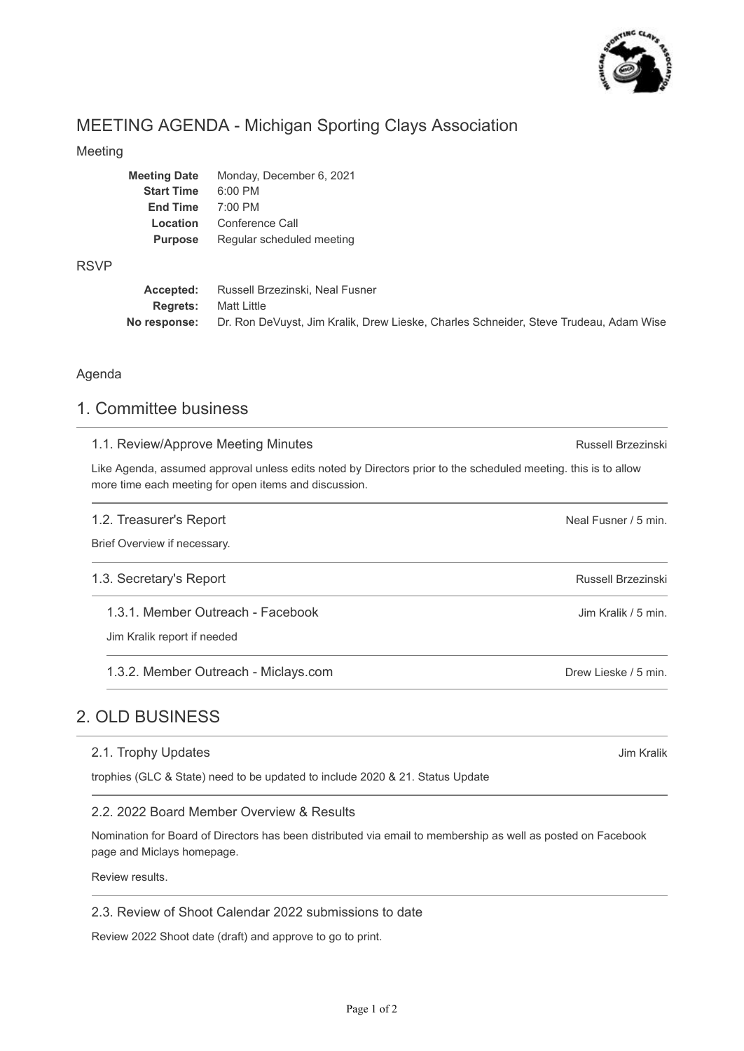

Jim Kralik

# MEETING AGENDA - Michigan Sporting Clays Association

#### Meeting

| <b>Meeting Date</b> | Monday, December 6, 2021  |
|---------------------|---------------------------|
| <b>Start Time</b>   | $6:00$ PM                 |
| <b>End Time</b>     | 7:00 PM                   |
| Location            | Conference Call           |
| <b>Purpose</b>      | Regular scheduled meeting |
|                     |                           |

#### RSVP

|                             | <b>Accepted:</b> Russell Brzezinski, Neal Fusner                                                          |
|-----------------------------|-----------------------------------------------------------------------------------------------------------|
| <b>Regrets:</b> Matt Little |                                                                                                           |
|                             | <b>No response:</b> Dr. Ron DeVuyst, Jim Kralik, Drew Lieske, Charles Schneider, Steve Trudeau, Adam Wise |

#### Agenda

## 1. Committee business

| 1.1. Review/Approve Meeting Minutes                                                                                                                                     | Russell Brzezinski   |
|-------------------------------------------------------------------------------------------------------------------------------------------------------------------------|----------------------|
| Like Agenda, assumed approval unless edits noted by Directors prior to the scheduled meeting. this is to allow<br>more time each meeting for open items and discussion. |                      |
| 1.2. Treasurer's Report<br>Brief Overview if necessary.                                                                                                                 | Neal Fusner / 5 min. |
| 1.3. Secretary's Report                                                                                                                                                 | Russell Brzezinski   |
| 1.3.1. Member Outreach - Facebook<br>Jim Kralik report if needed                                                                                                        | Jim Kralik / 5 min.  |
| 1.3.2. Member Outreach - Miclays.com                                                                                                                                    | Drew Lieske / 5 min. |
| OLD BLISINESS                                                                                                                                                           |                      |

# 2. OLD BUSINESS

#### 2.1. Trophy Updates

trophies (GLC & State) need to be updated to include 2020 & 21. Status Update

#### 2.2. 2022 Board Member Overview & Results

Nomination for Board of Directors has been distributed via email to membership as well as posted on Facebook page and Miclays homepage.

Review results.

### 2.3. Review of Shoot Calendar 2022 submissions to date

Review 2022 Shoot date (draft) and approve to go to print.